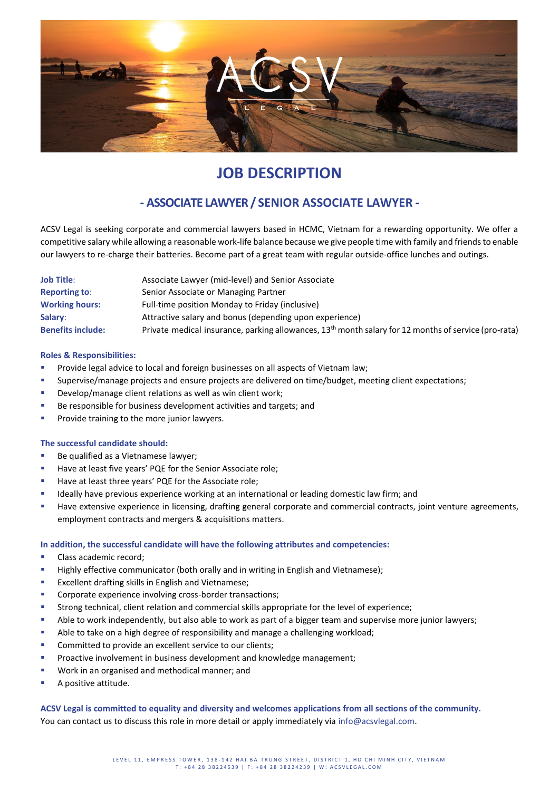

# **JOB DESCRIPTION**

## **- ASSOCIATE LAWYER / SENIOR ASSOCIATE LAWYER -**

ACSV Legal is seeking corporate and commercial lawyers based in HCMC, Vietnam for a rewarding opportunity. We offer a competitive salary while allowing a reasonable work-life balance because we give people time with family and friends to enable our lawyers to re-charge their batteries. Become part of a great team with regular outside-office lunches and outings.

| <b>Job Title:</b>        | Associate Lawyer (mid-level) and Senior Associate                                                                |
|--------------------------|------------------------------------------------------------------------------------------------------------------|
| <b>Reporting to:</b>     | Senior Associate or Managing Partner                                                                             |
| <b>Working hours:</b>    | Full-time position Monday to Friday (inclusive)                                                                  |
| Salary:                  | Attractive salary and bonus (depending upon experience)                                                          |
| <b>Benefits include:</b> | Private medical insurance, parking allowances, 13 <sup>th</sup> month salary for 12 months of service (pro-rata) |

### **Roles & Responsibilities:**

- **•** Provide legal advice to local and foreign businesses on all aspects of Vietnam law;
- Supervise/manage projects and ensure projects are delivered on time/budget, meeting client expectations;
- **E** Develop/manage client relations as well as win client work;
- Be responsible for business development activities and targets; and
- Provide training to the more junior lawyers.

#### **The successful candidate should:**

- Be qualified as a Vietnamese lawyer;
- Have at least five years' PQE for the Senior Associate role;
- Have at least three years' PQE for the Associate role;
- **■** Ideally have previous experience working at an international or leading domestic law firm; and
- **■** Have extensive experience in licensing, drafting general corporate and commercial contracts, joint venture agreements, employment contracts and mergers & acquisitions matters.

#### **In addition, the successful candidate will have the following attributes and competencies:**

- **·** Class academic record;
- **■** Highly effective communicator (both orally and in writing in English and Vietnamese);
- Excellent drafting skills in English and Vietnamese;
- Corporate experience involving cross-border transactions;
- **■** Strong technical, client relation and commercial skills appropriate for the level of experience;
- **EXECT** Able to work independently, but also able to work as part of a bigger team and supervise more junior lawyers;
- **E** Able to take on a high degree of responsibility and manage a challenging workload;
- Committed to provide an excellent service to our clients;
- **•** Proactive involvement in business development and knowledge management;
- Work in an organised and methodical manner; and
- A positive attitude.

**ACSV Legal is committed to equality and diversity and welcomes applications from all sections of the community.**  You can contact us to discuss this role in more detail or apply immediately via info@acsvlegal.com.